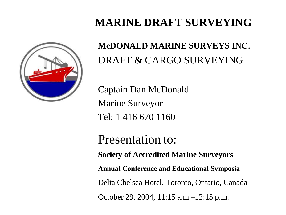### **MARINE DRAFT SURVEYING**



**McDONALD MARINE SURVEYS INC**. DRAFT & CARGO SURVEYING

Captain Dan McDonald Marine Surveyor Tel: 1 416 670 1160

Presentation to: **Society of Accredited Marine Surveyors Annual Conference and Educational Symposia** Delta Chelsea Hotel, Toronto, Ontario, Canada October 29, 2004, 11:15 a.m.–12:15 p.m.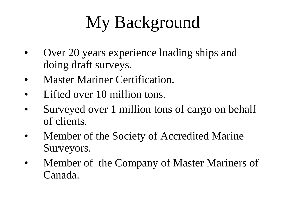# My Background

- Over 20 years experience loading ships and doing draft surveys.
- Master Mariner Certification.
- Lifted over 10 million tons.
- Surveyed over 1 million tons of cargo on behalf of clients.
- Member of the Society of Accredited Marine Surveyors.
- Member of the Company of Master Mariners of Canada.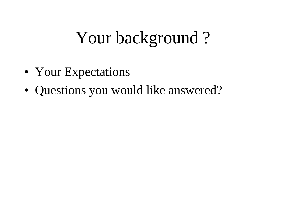## Your background ?

- Your Expectations
- Questions you would like answered?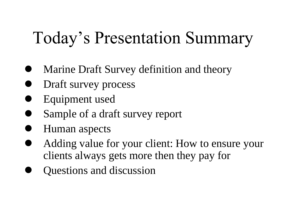## Today's Presentation Summary

- Marine Draft Survey definition and theory
- Draft survey process
- Equipment used
- Sample of a draft survey report
- Human aspects
- Adding value for your client: How to ensure your clients always gets more then they pay for
- Questions and discussion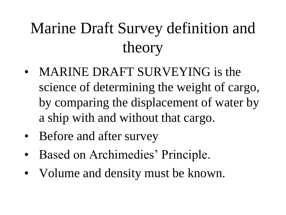## Marine Draft Survey definition and theory

- MARINE DRAFT SURVEYING is the science of determining the weight of cargo, by comparing the displacement of water by a ship with and without that cargo.
- Before and after survey
- Based on Archimedies' Principle.
- Volume and density must be known.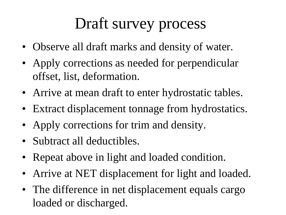## Draft survey process

- Observe all draft marks and density of water.
- Apply corrections as needed for perpendicular offset, list, deformation.
- Arrive at mean draft to enter hydrostatic tables.
- Extract displacement tonnage from hydrostatics.
- Apply corrections for trim and density.
- Subtract all deductibles.
- Repeat above in light and loaded condition.
- Arrive at NET displacement for light and loaded.
- The difference in net displacement equals cargo loaded or discharged.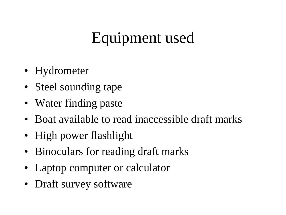## Equipment used

- Hydrometer
- Steel sounding tape
- Water finding paste
- Boat available to read inaccessible draft marks
- High power flashlight
- Binoculars for reading draft marks
- Laptop computer or calculator
- Draft survey software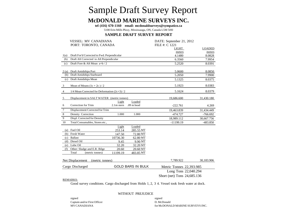### Sample Draft Survey Report

#### **McDONALD MARINE SURVEYS INC.**

**tel (416) 670-1160 email: mcdonaldsurveys@sympatico.ca**

5100 Erin Mills Pkwy, Mississauga, ON, Canada L5M 5H0

#### **SAMPLE DRAFT SURVEY REPORT**

|                  | <b>VESSEL: MV CANADIANA</b>                     |              |                          | DATE: September 21, 2012    |                  |  |
|------------------|-------------------------------------------------|--------------|--------------------------|-----------------------------|------------------|--|
|                  | PORT: TORONTO, CANADA                           |              |                          | FILE #: C 1221              |                  |  |
|                  |                                                 |              |                          | LIGHT                       | <b>LOADED</b>    |  |
| 1(a)             | Draft For'd Corrected to Fwd. Perpendicular     |              |                          | meters<br>4.1480            | meters<br>8.0828 |  |
| (b)              | Draft Aft Corrected to Aft Perpendicular        |              |                          | 6.3560                      | 7.9954           |  |
| (c)              | Draft Fore & Aft Mean a+b / 2                   |              |                          | 5.2520                      | 8.0391           |  |
|                  |                                                 |              |                          |                             |                  |  |
|                  | 2(a) Draft Amidships Port                       |              |                          | 5.0600                      | 8.0850           |  |
| (b)              | Draft Amidships Starboard                       |              |                          | 5.2050                      | 7.9900           |  |
| (c)              | Draft Amidships Mean                            |              |                          | 5.1325                      | 8.0375           |  |
| $\mathbf{3}$     | Mean of Means $(1c + 2c)$ / 2                   |              |                          | 5.1923                      | 8.0383           |  |
| $\overline{4}$   | $1/4$ Mean Corrected for Deformation $(2c+3)/2$ |              |                          | 5.1624                      | 8.0379           |  |
| 5                | Displacement in SALT WATER (metric tonnes)      |              |                          | 19,686.600                  | 31,430.180       |  |
|                  |                                                 | Light        | Loaded                   |                             |                  |  |
| 6                | Correction for Trim                             | $2.1m$ stern | $.09m$ head              | $-222.761$                  | 4.269            |  |
| $\boldsymbol{7}$ | Displacement Corrected for Trim                 |              |                          | 19,463.839                  | 31,434.449       |  |
| $\,$ 8 $\,$      | Density Correction                              | 1.000        | 1.000                    | $-474.727$                  | $-766.692$       |  |
| 9                | Displ. Corrected for Density                    |              |                          | 18,989.112                  | 30,667.756       |  |
| 10               | Total Consumables, Stores etc.,                 |              |                          | $-11199.19$                 | $-483.850$       |  |
|                  |                                                 | Light        | Loaded                   |                             |                  |  |
| (a)              | Fuel Oil                                        | 253.14       | 285.55 MT                |                             |                  |  |
|                  | (b) Fresh Water                                 | 147.50       | 72.80 MT                 |                             |                  |  |
| (c)              | <b>Ballast</b>                                  | 10736.30     | 62.80 MT                 |                             |                  |  |
|                  | (d) Diesel Oil                                  | 9.45         | 9.90 MT                  |                             |                  |  |
| (e)              | Lube Oil                                        | 32.20        | 32.20 MT                 |                             |                  |  |
| (f)              | Other: Sludge and E.R. Bilge                    | 20.60        | 20.60 MT                 |                             |                  |  |
|                  | Total<br>(metric tonnes)                        | 11199.19     | 483.85 MT                |                             |                  |  |
|                  | <b>Net Displacement</b><br>(metric tonnes)      |              |                          | 7,789.922                   | 30,183.906       |  |
| Cargo Discharged |                                                 |              | <b>GOLD BARS IN BULK</b> | Metric Tonnes 22,393.985    |                  |  |
|                  |                                                 |              |                          | Long Tons 22,040.294        |                  |  |
|                  |                                                 |              |                          | Short (net) Tons 24,685.136 |                  |  |
|                  | <b>REMARKS:</b>                                 |              |                          |                             |                  |  |

Good survey conditions. Cargo discharged from Holds 1, 2, 3 4. Vessel took fresh water at dock.

#### WITHOUT PREJUDICE

signed Captain and/or First Officer MVCANADIANA

signed D. McDonald for McDONALD MARINE SURVEYS INC.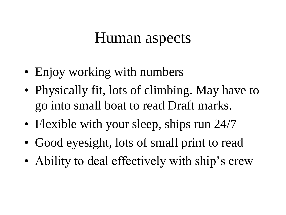## Human aspects

- Enjoy working with numbers
- Physically fit, lots of climbing. May have to go into small boat to read Draft marks.
- Flexible with your sleep, ships run 24/7
- Good eyesight, lots of small print to read
- Ability to deal effectively with ship's crew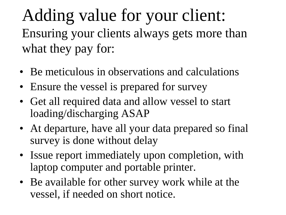Adding value for your client: Ensuring your clients always gets more than what they pay for:

- Be meticulous in observations and calculations
- Ensure the vessel is prepared for survey
- Get all required data and allow vessel to start loading/discharging ASAP
- At departure, have all your data prepared so final survey is done without delay
- Issue report immediately upon completion, with laptop computer and portable printer.
- Be available for other survey work while at the vessel, if needed on short notice.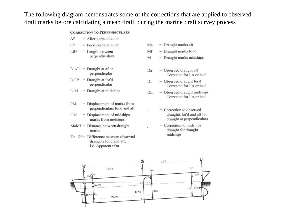The following diagram demonstrates some of the corrections that are applied to observed draft marks before calculating a mean draft, during the marine draft survey process

#### **CORRECTION TO PERPENDICULARS**

| AP |  | After perpendicular |  |
|----|--|---------------------|--|
|    |  |                     |  |

- $=$  For'd perpendicular FP
- $=$  Length between LBP perpendiculars
- $DAP = Draught at after$ perpendicular
- $DFP = Draught$  at for'd perpendicular
- $DM = Draught$  at midships
- $=$  Displacement of marks from PM perpendiculars for'd and aft
- CM  $=$  Displacement of midships marks from midships
- $M\alpha Mf =$  Distance between draught marks
- Da~Df = Difference between observed draughts for'd and aft, i.e. Apparent trim
- $=$  Draught marks aft Ma  $=$  Draught marks for'd Mf  $=$  Draught marks midships M
- $=$  Observed draught aft Da Corrected for list or heel
- $=$  Observed draught for'd Df Corrected for list or heel
- $=$  Observed draught midships Dm Corrected for list or heel
	- $=$  Correction to observed draughts for'd and aft for draught at perpendiculars
	- $=$  Correction to midships draught for draught midships



ĩ

j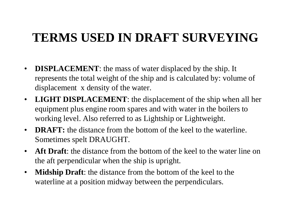### **TERMS USED IN DRAFT SURVEYING**

- **DISPLACEMENT**: the mass of water displaced by the ship. It represents the total weight of the ship and is calculated by: volume of displacement x density of the water.
- **LIGHT DISPLACEMENT**: the displacement of the ship when all her equipment plus engine room spares and with water in the boilers to working level. Also referred to as Lightship or Lightweight.
- **DRAFT:** the distance from the bottom of the keel to the waterline. Sometimes spelt DRAUGHT.
- **Aft Draft**: the distance from the bottom of the keel to the water line on the aft perpendicular when the ship is upright.
- **Midship Draft**: the distance from the bottom of the keel to the waterline at a position midway between the perpendiculars.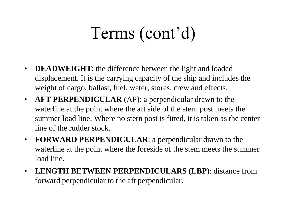## Terms (cont'd)

- **DEADWEIGHT**: the difference between the light and loaded displacement. It is the carrying capacity of the ship and includes the weight of cargo, ballast, fuel, water, stores, crew and effects.
- **AFT PERPENDICULAR** (AP): a perpendicular drawn to the waterline at the point where the aft side of the stern post meets the summer load line. Where no stern post is fitted, it is taken as the center line of the rudder stock.
- **FORWARD PERPENDICULAR**: a perpendicular drawn to the waterline at the point where the foreside of the stem meets the summer load line.
- **LENGTH BETWEEN PERPENDICULARS (LBP**): distance from forward perpendicular to the aft perpendicular.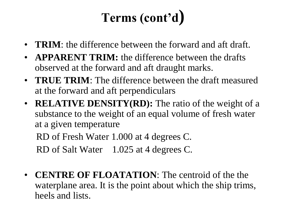## **Terms (cont'd)**

- **TRIM**: the difference between the forward and aft draft.
- **APPARENT TRIM:** the difference between the drafts observed at the forward and aft draught marks.
- **TRUE TRIM**: The difference between the draft measured at the forward and aft perpendiculars
- **RELATIVE DENSITY(RD):** The ratio of the weight of a substance to the weight of an equal volume of fresh water at a given temperature

 RD of Fresh Water 1.000 at 4 degrees C. RD of Salt Water 1.025 at 4 degrees C.

• **CENTRE OF FLOATATION**: The centroid of the the waterplane area. It is the point about which the ship trims, heels and lists.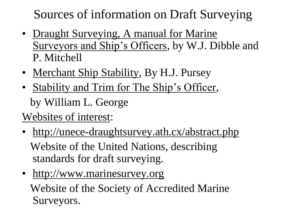Sources of information on Draft Surveying

- Draught Surveying, A manual for Marine Surveyors and Ship's Officers, by W.J. Dibble and P. Mitchell
- Merchant Ship Stability, By H.J. Pursey
- Stability and Trim for The Ship's Officer, by William L. George

Websites of interest:

- http://unece-draughtsurvey.ath.cx/abstract.php Website of the United Nations, describing standards for draft surveying.
- http://www.marinesurvey.org

 Website of the Society of Accredited Marine Surveyors.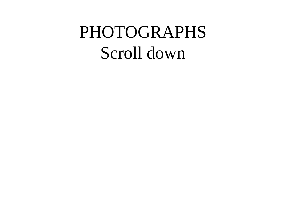## PHOTOGRAPHS Scroll down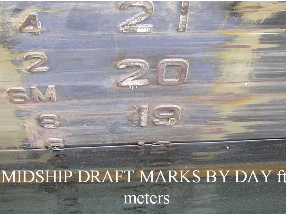MIDSHIP DRAFT MARKS BY DAY fi meters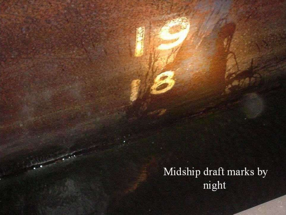Midship draft marks by night

**Comment**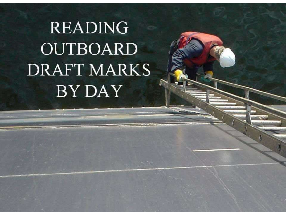# **READING OUTBOARD DRAFT MARKS BY DAY**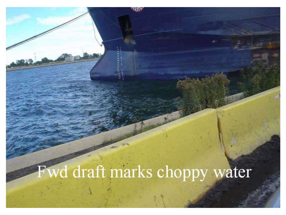# Fwd draft marks choppy water